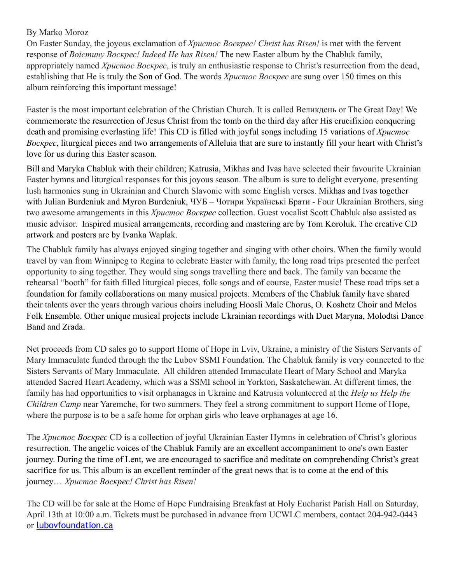## By Marko Moroz

On Easter Sunday, the joyous exclamation of *Христос Bоскрес! Christ has Risen!* is met with the fervent response of *Воістину Bоскрес! Indeed He has Risen!* The new Easter album by the Chabluk family, appropriately named *Христос Bоскрес*, is truly an enthusiastic response to Christ's resurrection from the dead, establishing that He is truly the Son of God. The words *Христос Bоскрес* are sung over 150 times on this album reinforcing this important message!

Easter is the most important celebration of the Christian Church. It is called Великдень or The Great Day! We commemorate the resurrection of Jesus Christ from the tomb on the third day after His crucifixion conquering death and promising everlasting life! This CD is filled with joyful songs including 15 variations of *Христос Bоскрес*, liturgical pieces and two arrangements of Alleluia that are sure to instantly fill your heart with Christ's love for us during this Easter season.

Bill and Maryka Chabluk with their children; Katrusia, Mikhas and Ivas have selected their favourite Ukrainian Easter hymns and liturgical responses for this joyous season. The album is sure to delight everyone, presenting lush harmonies sung in Ukrainian and Church Slavonic with some English verses. Mikhas and Ivas together with Julian Burdeniuk and Myron Burdeniuk, ЧУБ – Чотири Українські Брати - Four Ukrainian Brothers, sing two awesome arrangements in this *Христос Bоскрес* collection. Guest vocalist Scott Chabluk also assisted as music advisor. Inspired musical arrangements, recording and mastering are by Tom Koroluk. The creative CD artwork and posters are by Ivanka Waplak.

The Chabluk family has always enjoyed singing together and singing with other choirs. When the family would travel by van from Winnipeg to Regina to celebrate Easter with family, the long road trips presented the perfect opportunity to sing together. They would sing songs travelling there and back. The family van became the rehearsal "booth" for faith filled liturgical pieces, folk songs and of course, Easter music! These road trips set a foundation for family collaborations on many musical projects. Members of the Chabluk family have shared their talents over the years through various choirs including Hoosli Male Chorus, O. Koshetz Choir and Melos Folk Ensemble. Other unique musical projects include Ukrainian recordings with Duet Maryna, Molodtsi Dance Band and Zrada.

Net proceeds from CD sales go to support Home of Hope in Lviv, Ukraine, a ministry of the Sisters Servants of Mary Immaculate funded through the the Lubov SSMI Foundation. The Chabluk family is very connected to the Sisters Servants of Mary Immaculate. All children attended Immaculate Heart of Mary School and Maryka attended Sacred Heart Academy, which was a SSMI school in Yorkton, Saskatchewan. At different times, the family has had opportunities to visit orphanages in Ukraine and Katrusia volunteered at the *Help us Help the Children Camp* near Yaremche, for two summers. They feel a strong commitment to support Home of Hope, where the purpose is to be a safe home for orphan girls who leave orphanages at age 16.

The *Христос Bоскрес* CD is a collection of joyful Ukrainian Easter Hymns in celebration of Christ's glorious resurrection. The angelic voices of the Chabluk Family are an excellent accompaniment to one's own Easter journey. During the time of Lent, we are encouraged to sacrifice and meditate on comprehending Christ's great sacrifice for us. This album is an excellent reminder of the great news that is to come at the end of this journey… *Христос Bоскрес! Christ has Risen!*

The CD will be for sale at the Home of Hope Fundraising Breakfast at Holy Eucharist Parish Hall on Saturday, April 13th at 10:00 a.m. Tickets must be purchased in advance from UCWLC members, contact 204-942-0443 or [lubovfoundation.ca](http://www.lubovfoundatin.ca)